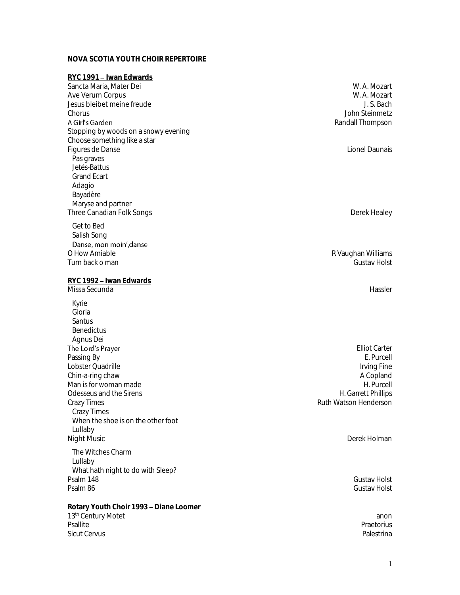## **NOVA SCOTIA YOUTH CHOIR REPERTOIRE**

| RYC 1991 - Iwan Edwards                        |                       |
|------------------------------------------------|-----------------------|
| Sancta Maria, Mater Dei                        | W. A. Mozart          |
| Ave Verum Corpus                               | W. A. Mozart          |
| Jesus bleibet meine freude                     | J. S. Bach            |
| Chorus                                         | John Steinmetz        |
| A Girl's Garden                                | Randall Thompson      |
| Stopping by woods on a snowy evening           |                       |
| Choose something like a star                   |                       |
| Figures de Danse                               | Lionel Daunais        |
| Pas graves                                     |                       |
| Jetés-Battus                                   |                       |
| <b>Grand Ecart</b>                             |                       |
| Adagio                                         |                       |
| Bayadère                                       |                       |
| Maryse and partner                             |                       |
| Three Canadian Folk Songs                      | Derek Healey          |
| Get to Bed                                     |                       |
| Salish Song                                    |                       |
| Danse, mon moin', danse                        |                       |
| O How Amiable                                  | R Vaughan Williams    |
| Turn back o man                                | <b>Gustav Holst</b>   |
| RYC 1992 - Iwan Edwards                        |                       |
| Missa Secunda                                  | Hassler               |
|                                                |                       |
| Kyrie                                          |                       |
| Gloria                                         |                       |
| Santus                                         |                       |
| Benedictus                                     |                       |
| Agnus Dei<br>The Lord's Prayer                 | <b>Elliot Carter</b>  |
| Passing By                                     | E. Purcell            |
| Lobster Quadrille                              | Irving Fine           |
| Chin-a-ring chaw                               | A Copland             |
| Man is for woman made                          | H. Purcell            |
| Odesseus and the Sirens                        | H. Garrett Phillips   |
| Crazy Times                                    | Ruth Watson Henderson |
| <b>Crazy Times</b>                             |                       |
| When the shoe is on the other foot             |                       |
| Lullaby                                        |                       |
| <b>Night Music</b>                             | Derek Holman          |
| The Witches Charm                              |                       |
| Lullaby                                        |                       |
| What hath night to do with Sleep?              |                       |
| Psalm 148                                      | Gustav Holst          |
| Psalm 86                                       | <b>Gustav Holst</b>   |
| <u> Rotary Youth Choir 1993 - Diane Loomer</u> |                       |
| 13 <sup>th</sup> Century Motet                 | anon                  |
| Psallite                                       | Praetorius            |
| <b>Sicut Cervus</b>                            | Palestrina            |
|                                                |                       |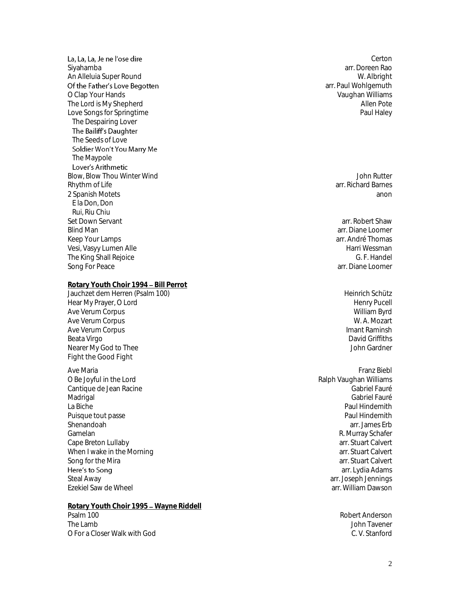La, La, La, Je ne l'ose dire Siyahamba arr. Doreen Rao An Alleluia Super Round W. Albright Of the Father's Love Begotten O Clap Your Hands Vaughan Williams The Lord is My Shepherd Allen Pote (Allen Pote Allen Pote Allen Pote Allen Pote Allen Pote Allen Pote Allen Pote Allen Pote Allen Pote Allen Pote Allen Pote Allen Pote Allen Pote Allen Pote Allen Pote Allen Pote Allen Pote Love Songs for Springtime The Despairing Lover<br>The Bailiff's Daughter The Seeds of Love Soldier Won't You Marry Me The Maypole<br>Lover's Arithmetic Blow, Blow Thou Winter Wind John Rutter Number of The State of The State of The John Rutter of The John Rutter Rhythm of Life arr. Richard Barnes 2 Spanish Motets anon E la Don, Don Rui, Riu Chiu Set Down Servant arrests are set to be a set of the set of the set of the set of the set of the set of the set of the set of the set of the set of the set of the set of the set of the set of the set of the set of the set o Blind Man arr. Diane Loomer Keep Your Lamps arr. André Thomas arr. André Thomas arr. André Thomas arr. André Thomas arr. André Thomas arr.<br>Vesi. Vasyy Lumen Alle Vesi, Vasyy Lumen Alle Harri Wessman The King Shall Rejoice G. F. Handel G. F. Handel G. F. Handel G. F. Handel G. F. Handel G. F. Handel G. F. Handel G. G. F. Handel G. G. F. Handel G. G. F. Handel G. G. F. Handel G. G. F. Handel G. G. F. Handel G. G. G. F. Song For Peace **Rotary Youth Choir 1994 - Bill Perrot** Jauchzet dem Herren (Psalm 100) Heinrich Schütz

Hear My Prayer, O Lord and the state of the state of the state of the Henry Pucell (Henry Pucell Ave Verum Corpus 1999)<br>Ave Verum Corpus 1999 Ave Verum Corpus and the control of the control of the control of the control of the control of the control of<br>Ave Verum Corpus and the control of the control of the control of the control of the control of the control of Ave Verum Corpus Ave Verum Corpus Imant Raminsh Beata Virgo David Griffiths (1999) and the Beata Virgo David Griffiths (1999) and David Griffiths (1999) and D<br>David Griffiths (1999) and David Griffiths (1999) and David Griffiths (1999) and David Griffiths (1999) and D Nearer My God to Thee Fight the Good Fight

Ave Maria Franz Biebl O Be Joyful in the Lord (2008) Development of the Salph Vaughan Williams (2008) Development of the Ralph Vaughan Williams<br>Cantique de Jean Racine Cantique de Jean Racine (1996) (1996) (1996) (1997) (1998) (1998) (1998) (1998) (1998) (1998) (1998) (1998) (1<br>Madrigal (1999) (1999) (1999) (1999) (1999) (1999) (1999) (1999) (1999) (1999) (1999) (1999) (1999) (1999) (1 Madrigal Gabriel Fauré de la commune de la commune de la commune de la commune de la commune de la commune de La Biche Paul Hindemith Puisque tout passe **Paul Hindemith Paul Hindemith** Shenandoah arr. James Erb Gamelan R. Murray Schafer<br>Cape Breton Lullaby R. Murray Schafer (1999)<br>Cape Breton Lullaby R. Murray Schafer (1999) Cape Breton Lullaby arr. Stuart Calvert When I wake in the Morning Song for the Mira arrest of the Mira arrest of the Mira arrest of the Mira arrest of the Mira arr. Stuart Calvert Here's to Song Steal Away arr. Joseph Jennings Ezekiel Saw de Wheel arr. William Dawson

**Rotary Youth Choir 1995 – Wayne Riddell**<br>Psalm 100 The Lamb John Tavener O For a Closer Walk with God C. V. Stanford

**Certon** arr. Paul Wohlgemuth

arr. Lydia Adams

Robert Anderson<br>Iohn Tavener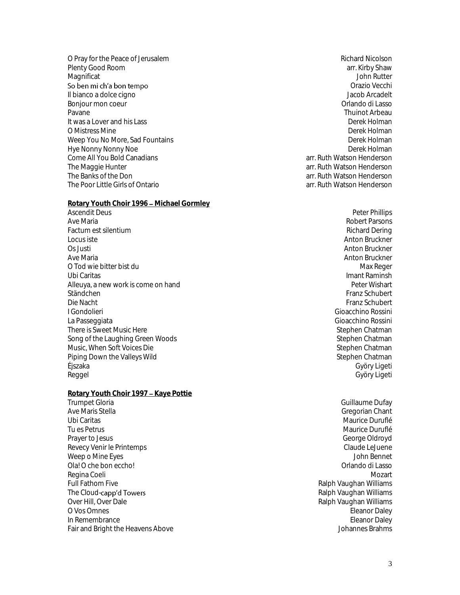O Pray for the Peace of Jerusalem **Richard Nicolson** Richard Nicolson Plenty Good Room arr. Kirby Shaw Magnificat John Rutter So ben mi ch'a bon tempo Il bianco a dolce cigno and a series and a series of the series of the series of the series of the series of the series of the series of the series of the series of the series of the series of the series of the series of t Bonjour mon coeur Pavane Thuinot Arbeau It was a Lover and his Lass O Mistress Mine **Derek Holman** Weep You No More, Sad Fountains Derek Holman Derek Holman Hye Nonny Nonny Noe Derek Holman<br>Come All You Bold Canadians and Derek Holman Come All You Bold Canadians are come arr. Ruth Watson Henderson Come All You Bold Canadians<br>The Maggie Hunter The Maggie Hunter arr. Ruth Watson Henderson<br>The Banks of the Don arr. Ruth Watson Henderson The Poor Little Girls of Ontario arr. Ruth Watson Henderson

**Rotary Youth Choir 1996 - Michael Gormley** 

Ascendit Deus Peter Phillips Ave Maria **Robert Parsons Ave Maria Robert Parsons Robert Parsons** Factum est silentium and the state of the state of the state of the state of the state of the state of the state of the state of the state of the state of the state of the state of the state of the state of the state of th Locus iste Anton Bruckner Os Justi Anton Bruckner<br>Ave Maria Anton Bruckner<br>Anton Bruckner O Tod wie bitter bist du  $\blacksquare$ Ubi Caritas Imant Raminsh Alleuya, a new work is come on hand Ständchen Einstein am der Schubert in der Schubert eine Einstein and der Schubert Einen Schubert eine Eine Schubert<br>Eine Nacht in der Schubert eine Einstein andere Einstein andere Einstein andere Eine Schubert Einen Schube I Gondolieri Gioacchino Rossini La Passeggiata Gioacchino Rossini There is Sweet Music Here Stephen Chatman (Stephen Chatman Song of the Laughing Green Woods) and Stephen Chatman Stephen Chatman (Stephen Chatman Stephen Chatman (Stephen Chatman Stephen Chatman ) Song of the Laughing Green Woods and Stephen Chatman Stephen Chatman Stephen Chatman Stephen Chatman Stephen Chatman<br>Stephen Chatman Stephen Chatman Music, When Soft Voices Die Stephen Chatman<br>
Piping Down the Valleys Wild Stephen Chatman Piping Down the Valleys Wild Éjszaka Györy Ligeti Reggel Györy Ligeti

**Rotary Youth Choir 1997 - Kaye Pottie** Trumpet Gloria (Guillaume Dufay ) and the control of the control of the control of the control of the control of the control of the control of the control of the control of the control of the control of the control of the Ubi Caritas de Maurice Duruflé de la composición de la contradición de la composición de Maurice Duruflé de la<br>Tulcs Petrus de Maurice Duruflé de la composición de la composición de la composición de Maurice Duruflé de l Prayer to Jesus Care and the Printemps of Care and the Care and the Care and the Care and Care and Care and Care and Care and Care and Care and Care and Care and Care and Care and Care and Care and Care and Care and Care a Revecy Venir le Printemps Weep o Mine Eyes John Bennet Ola! O che bon eccho! Regina Coeli Mozart Full Fathom Five **Full Fathom Five South Act of Contract Contract Contract Contract Contract Contract Contract Contract Contract Contract Contract Contract Contract Contract Contract Contract Contract Contract Contract Con** The Cloud-capp'd Towers<br>Over Hill, Over Dale Over Hill, Over Dale Ralph Vaughan Williams<br>O Vos Omnes Ralph Vaughan Williams (C) Vos Omnes In Remembrance Eleanor Daley<br>
Fair and Bright the Heavens Above **Eleanor Daley**<br>
Fair and Bright the Heavens Above Fair and Bright the Heavens Above

Orazio Vecchi arr. Ruth Watson Henderson

> Anton Bruckner Franz Schubert

Gregorian Chant Maurice Duruflé Eleanor Daley<br>Eleanor Daley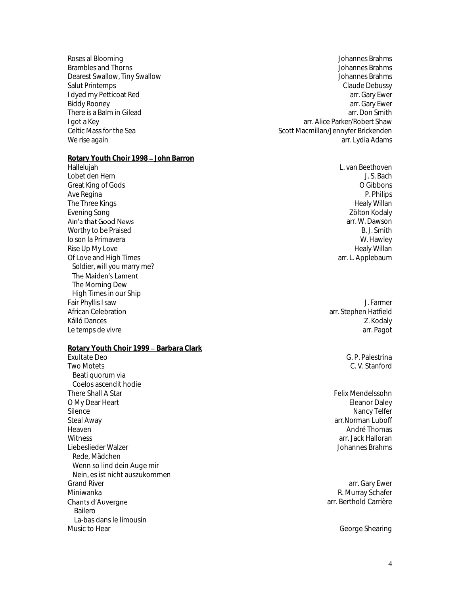- There is a Balm in Gilead
- **Rotary Youth Choir 1998 John Barron**

Hallelujah L. van Beethoven Lobet den Hern Great King of Gods **O Gibbons** O Gibbons **O Gibbons** Ave Regina P. Philips The Three Kings Healy Willan and the Three Kings Healy Willan and the Three Kings Healy Willan and the Three Kings Evening Song Zölton Kodaly Nashrida Song Zölton Kodaly Nashrida Song Zölton Kodaly Zölton Kodaly Ain'a that Good News Worthy to be Praised B. J. Smith Io son la Primavera November 2012 in the set of the set of the set of the set of the set of the set of the set of the set of the set of the set of the set of the set of the set of the set of the set of the set of the set o Rise Up My Love Healy Willan Of Love and High Times Soldier, will you marry me? The Maiden's Lament The Morning Dew High Times in our Ship Fair Phyllis I saw J. Farmer Kálló Dances Z. Kodaly Le temps de vivre arrivaire arrivaire de la comparactivité de la comparactivité de la comparactivité de la comm

**Rotary Youth Choir 1999 - Barbara Clark** 

Exultate Deo G. P. Palestrina Two Motets C. V. Stanford Beati quorum via Coelos ascendit hodie There Shall A Star Felix Mendelssohn O My Dear Heart **Eleanor Daley Act 1999** Control of the United States of the Eleanor Daley Eleanor Daley Silence Nancy Telfer Nancy Telfer Nancy Telfer Nancy Telfer Nancy Telfer Nancy Telfer Steal Away arr.Norman Luboff (Steal Away arr.Norman Luboff (Steal Away arr.Norman Luboff (Steal Away arr.Norman Luboff (Steal Away arr. Norman Luboff (Steal Away arr. Norman Luboff (Steal Away arr. Norman Luboff (Steal Awa Heaven André Thomas (1999), and the control of the control of the control of the control of the control of the control of the control of the control of the control of the control of the control of the control of the contro Witness arr. Jack Halloran Liebeslieder Walzer Rede, Mädchen Wenn so lind dein Auge mir Nein, es ist nicht auszukommen<br>Grand River Grand River arr. Gary Ewer arr. Gary Ewer arr. Gary Ewer arr. Gary Ewer arr. Gary Ewer arr. Gary Ewer arr. Gary Ewer<br>Miniwanka arr. Gary Ewen arr. Gary Ewen arr. Gary Ewen arr. Gary Ewen arr. Gary Ewen arr. Gary Ewen arr. Chants d'Auvergne Bailero La-bas dans le limousin<br>Music to Hear

Roses al Blooming and Secret and Secret and Secret and Secret and Secret and Secret and Secret and Secret and Secret and Secret and Secret and Secret and Secret and Secret and Secret and Secret and Secret and Secret and Se Brambles and Thorns Johannes Brahms Dearest Swallow, Tiny Swallow Johannes Brahms Salut Printemps Claude Debussy I dyed my Petticoat Red arr. Gary Ewer<br>Biddy Rooney arr. Gary Ewer Biddy Rooney arr. Gary Ewer<br>There is a Balm in Gilead and the state of the state of the state of the state of the state of the state of th<br>There is a Balm in Gilead and the state of the state of the state of the state of t I got a Key arr. Alice Parker/Robert Shaw arrefuged at Alice Parker/Robert Shaw arrefuged at the Sea and Celtic Mass for the Sea and Celtic Mass for the Sea and Celtic Mass for the Sea and Celtic Mass for the Sea and Celti Scott Macmillan/Jennyfer Brickenden We rise again arr. Lydia Adams and the second service and the service of the service of the service of the service of the service of the service of the service of the service of the service of the service of the service of

arr. W. Dawson

arr. Stephen Hatfield

R. Murray Schafer arr. Berthold Carrière

George Shearing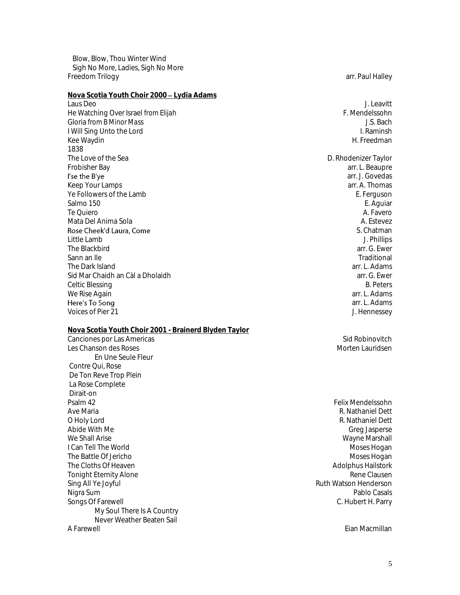Blow, Blow, Thou Winter Wind Sigh No More, Ladies, Sigh No More Freedom Trilogy **arrival arrival arrival arrival arrival arrival arrival arrival arrival arrival arrival arrival arrival arrival arrival arrival arrival arrival arrival arrival arrival arrival arrival arrival arrival arriv** 

**Nova Scotia Youth Choir 2000 Lydia Adams** Laus Deo J. Leavitt He Watching Over Israel *from Elijah* F. Mendelssohn Gloria *from B Minor Mass* J.S. Bach I Will Sing Unto the Lord<br>Kee Waydin Kee Waydin Hart and the South American Home and the South American Hart and H. Freedman 1838<br>The Love of the Sea The Love of the Sea D. Rhodenizer Taylor<br>Frobisher Baylor (Encyclopedia) and the Sea D. Rhodenizer Taylor (Encyclopedia) and the Sea D. Rhodenizer Taylor I'se the B'ye Keep Your Lamps arrangement of the state of the state of the state of the state of the state of the state of the state of the state of the state of the state of the state of the state of the state of the state of the state Ye Followers of the Lamb E. Ferguson Salmo 150 E. Aguiar Te Quiero A. Favero Mata Del Anima Sola Anima Sola A. Estevez A. Estevez A. Estevez A. Estevez A. Estevez A. Estevez A. Estevez A Rose Cheek'd Laura, Come Little Lamb J. Phillips The Blackbird arr. G. Ewer Sann an Ile **Traditional Accord Contract Contract Contract Contract Contract Contract Contract Contract Contract Contract Contract Contract Contract Contract Contract Contract Contract Contract Contract Contract Contract C** The Dark Island arr. L. Adams arr. L. Adams arr. L. Adams arr. L. Adams arr. L. Adams arr. L. Adams arr. L. Adams arr. G. Ewer Sid Mar Chaidh an Càl a Dholaidh arr. G. Ewer Celtic Blessing B. Peters<br>Me Rise Again B. Peters<br>We Rise Again B. Peters We Rise Again Here's To Song Voices of Pier 21 **J. Hennessey** 

#### **Nova Scotia Youth Choir 2001 - Brainerd Blyden Taylor**

Canciones por Las Americas Sid Robinovitch and Sid Robinovitch and Sid Robinovitch and Sid Robinovitch and Sid Robinovitch and Sid Robinovitch and Sid Robinovitch and Sid Robinovitch and Sid Robinovitch and Sid Robinovitch Les Chanson des Roses Morten Lauridsen (Chanson des Roses Morten Lauridsen des Antiques de Lauridsen des Antiqu En Une Seule Fleur Contre Qui, Rose De Ton Reve Trop Plein La Rose Complete Dirait-on Psalm 42 Felix Mendelssohn Ave Maria R. Nathaniel Dett O Holy Lord R. Nathaniel Dett Abide With Me Greg Jasperse **I Can Tell The World** The Battle Of Jericho Moses Hogan (November 2012)<br>The Cloths Of Heaven Moses Hogan (November 2012)<br>Adolphus Hailstork The Cloths Of Heaven Tonight Eternity Alone **Rene Clausen Rene Clausen Rene Clausen** Sing All Ye Joyful and the Sing All Ye Joyful and the Sing All Ye Joyful and the Sing All Ye Joyful and the Si<br>Nigra Sum ablo Casals Nigra Sum Pablo Casals Songs Of Farewell C. Hubert H. Parry My Soul There Is A Country Never Weather Beaten Sail<br>A Farewell A Farewell Eian Macmillan

arr. L. Beaupre arr. J. Govedas S. Chatman arr. L. Adams

Wayne Marshall<br>Moses Hogan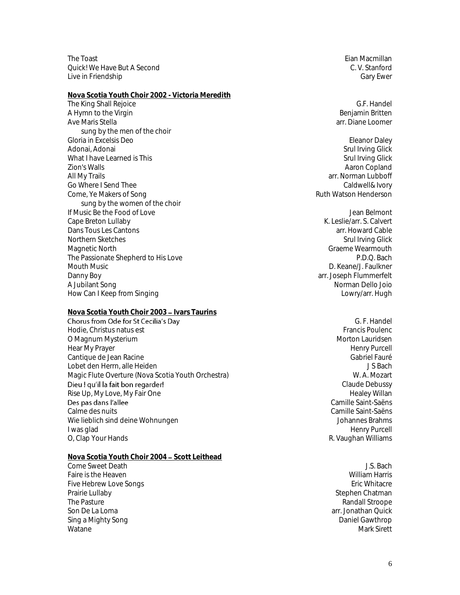The Toast Eian Macmillan and The Toast Eian Macmillan and The Toast Eian Macmillan Quick! We Have But A Second C. V. Stanford Live in Friendship Gary Ewer Controllers and the United States of Gary Ewer Gary Ewer Gary Ewer

**Nova Scotia Youth Choir 2002 - Victoria Meredith** The King Shall Rejoice G.F. Handel Shall Rejoice G.F. Handel G.F. Handel G.F. Handel G.F. Handel G.F. Handel S<br>A Hymn to the Virgin A Hymn to the Virgin<br>Ave Maris Stella sung by the men of the choir Gloria in Excelsis Deo **Eleanor Daley** Controllery and the Controllery of the Controllery Eleanor Daley and Adonai, Adonai (and Adonai Srul Irving Glick) and Adonai, Adonai Srul Irving Glick<br>
Adonai Srul Irving Glick<br>
Srul Irving Glick What I have Learned is This Zion's Walls Aaron Copland All My Trails arr. Norman Lubboff Go Where I Send Thee Caldwell Caldwell Caldwell Caldwell & Ivory Come, Ye Makers of Song Ruth Watson Henderson Ruth Watson Henderson sung by the women of the choir If Music Be the Food of Love Jean Belmont Cape Breton Lullaby **Cape Breton Lullaby** K. Leslie/arr. S. Calvert Dans Tous Les Cantons arr. Howard Cable Northern Sketches Same States Srul Irving Glick Srul Irving Glick Magnetic North Graeme Wearmouth<br>The Passionate Shepherd to His Love Controller and Controller and Critical China Brown (P.D.Q. Bach The Passionate Shepherd to His Love Mouth Music **D. Keane/J. Faulkner** Danny Boy arr. Joseph Flummerfelt How Can I Keep from Singing Lowry/arr. Hugh

**Nova Scotia Youth Choir 2003 – Ivars Taurins**<br>Chorus from Ode for St Cecilia's Day Hodie, Christus natus est Executive International School and Trancis Poulence International According of the M<br>Hodie of Magnum Mysterium of the Executive International According of the Morton Lauridsen O Magnum Mysterium Hear My Prayer Henry Purcell Cantique de Jean Racine Gabriel Fauré de Jean Racine Gabriel Fauré de La Gabriel Fauré de La Gabriel Fauré de Lobet den Herrn, alle Heiden J S Bach Magic Flute Overture (Nova Scotia Youth Orchestra) Nagic Flute Overture (Nova Scotia Youth Orchestra) Dieu! qu'il la fait bon regarder! Rise Up, My Love, My Fair One Healey Willan and My Love And My Love And My Love And My Love And My Love And My Des pas dans l'allee Calme des nuits Camille Saint-Saëns Wie lieblich sind deine Wohnungen<br>I was glad Germany Purcell O, Clap Your Hands **R. Vaughan Williams** R. Vaughan Williams

**Nova Scotia Youth Choir 2004 - Scott Leithead** 

Faire is the Heaven and South School (1999) and the Heaven and South America School (1999) and Milliam Harris<br>Five Hebrew Love Songs (1999) and South School (1999) and School (1999) and School (1999) and School (1999) an Five Hebrew Love Songs<br>Prairie Lullaby The Pasture **Randall Stroope Randall Stroope Randall Stroope** Son De La Loma arr. Jonathan Quick Sing a Mighty Song **Daniel Gawthrop** Watane Mark Sirett (1999) was a statement of the statement of the statement of the Mark Sirett (1990) was a statement of the statement of the statement of the statement of the statement of the statement of the statement of

arr. Diane Loomer

Norman Dello Joio

G. F. Handel Claude Debussy Camille Saint-Saëns Henry Purcell

**Come Sweet Death** J.S. Bach Stephen Chatman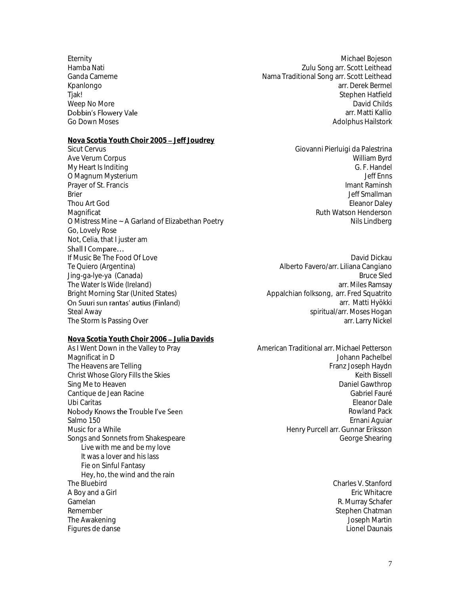Eternity Michael Bojeson Weep No More Dobbin's Flowery Vale **Nova Scotia Youth Choir 2005 – Jeff Joudrey**<br>Sicut Cervus Ave Verum Corpus North Corpus (North Corpus North Corpus North Corpus North Corpus North Corpus North Corpus North Corpus North Corpus North Corpus North Corpus North Corpus North Corpus North Corpus North Corpus North Cor My Heart Is Inditing and the control of the control of the control of the G. F. Handel G. F. Handel (G. F. Handel of the control of the control of the control of the control of the control of the control of the control of O Magnum Mysterium Prayer of St. Francis Imant Raminsh Brier Germany and the settlement of the settlement of the settlement of the settlement of the settlement of the settlement of the settlement of the settlement of the settlement of the settlement of the settlement of the se Thou Art God **Eleanor Daley Contract Contract Contract Contract Contract Contract Contract Contract Contract Contract Contract Contract Contract Contract Contract Contract Contract Contract Contract Contract Contract Con** Magnificat **Magnificat** Ruth Watson Henderson **Magnificat** Ruth Watson Henderson O Mistress Mine ~ A Garland of Elizabethan Poetry Nils Lindberg Nils Lindberg Go, Lovely Rose Not, Celia, that I juster am Shall I Compare... If Music Be The Food Of Love David Dickau David Dickau David Dickau David Dickau

The Water Is Wide (Ireland)<br>Bright Morning Star (United States) The Storm Is Passing Over

**Nova Scotia Youth Choir 2006 - Julia Davids** 

As I Went Down in the Valley to Pray American Traditional arr. Michael Petterson Nobody Knows the Trouble I've Seen Live with me and be my love It was a lover and his lass Fie on Sinful Fantasy Hey, ho, the wind and the rain<br>The Bluebird A Boy and a Girl Gamelan **R. Murray Schafer** R. Murray Schafer Remember Stephen Chatman Chatman Stephen Chatman Stephen Chatman Stephen Chatman The Awakening Joseph Martin Figures de danse

Hamba Nati Zulu Song arr. Scott Leithead Ganda Cameme **Nama Traditional Song arr. Scott Leithead** Cameme Nama Traditional Song arr. Scott Leithead Kpanlongo arr. Derek Bermel arr. Derek Bermel arr. Derek Bermel arr. Derek Bermel arr. Derek Bermel arr. Derek Bermel arr. Derek Bermel arr. Derek Bermel arr. Derek Bermel arr. Derek Bermel arr. Derek Bermel arr. Derek Ber Tjak! Stephen Hatfield arr. Matti Kallio Go Down Moses **Adolphus Hailstork Communisty Communisty Communisty Communisty Communisty Communisty Communisty Communisty Communisty Communisty Communisty Communisty Communisty Communisty Communisty Communisty Communisty** 

Giovanni Pierluigi da Palestrina<br>William Byrd

Te Quiero (Argentina) Alberto Favero/arr. Liliana Cangiano Jing-ga-lye-ya (Canada) Bruce Sled Bright Morning Star (United States) Appalchian folksong, arr. Fred Squatrito<br>**On Suuri sun rantas' autius (Finland)** anno 2008, arr. Matti Hyökki arr. Matti Hyökki Steal Away<br>The Storm Is Passing Over the storm of the Storm Is Passing Over the Storm of the Storm Is Passing Over the St

Magnificat in D Johann Pachelbel The Heavens are Telling Franz Joseph Haydn Christ Whose Glory Fills the Skies Keith Bissell and the Skies Keith Bissell and the Skies Keith Bissell and the Skies Keith Bissell Sing Me to Heaven **Daniel Gawthrop** Control of the Sing Me to Heaven Daniel Gawthrop Control of the Sing Me to Heaven Daniel Gawthrop Cantique de Jean Racine Gabriel Fauré de Jean Racine Gabriel Fauré de La Gabriel Fauré de La Gabriel Fauré de Ubi Caritas Eleanor Dale Rowland Pack Salmo 150 Ernani Aguiar Henry Purcell arr. Gunnar Eriksson Songs and Sonnets from Shakespeare George Shearing George Shearing

Charles V. Stanford<br>Eric Whitacre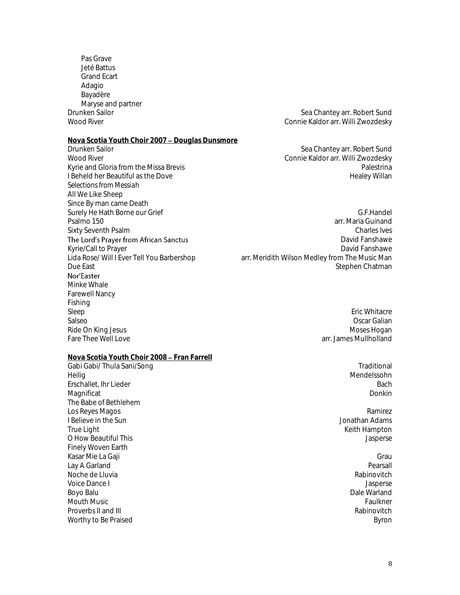Pas Grave Jeté Battus Grand Ecart Adagio Bayadère Maryse and partner<br>Drunken Sailor

# **Nova Scotia Youth Choir 2007 - Douglas Dunsmore**<br>Drunken Sailor

Drunken Sailor Nation (Sea Chantey arr. Robert Sund National Sea Chantey arr. Robert Sund Sea Chantey arr. Robert Sund National Sea Chantey arr. Willi Zwozdesky Kyrie and Gloria from the Missa Brevis entity and Gloria from the Missa Brevis entity and the Missa Brevis entity and the Dove of the Palestrina entity and the Dove of the Dove of the Dove of the Dove of the Dove of the Do I Beheld her Beautiful as the Dove *Selections from Messiah* All We Like Sheep Since By man came Death Surely He Hath Borne our Grief G.F.Handel The Lord's Prayer from African Sanctus Kyrie/Call to Prayer<br>Lida Rose/ Will I Ever Tell You Barbershop Nor'Easter Minke Whale Farewell Nancy Fishing Sleep Eric Whitacre Salseo Oscar Galian Ride On King Jesus Moses Hogan<br>Fare Thee Well Love Muses Muses Hogan Moses Hogan Moses Hogan Muses Hogan Muses Hogan

**Nova Scotia Youth Choir 2008 - Fran Farrell** 

Drunken Sailor Sea Chantey arr. Robert Sund Connie Kaldor arr. Willi Zwozdesky

Connie Kaldor arr. Willi Zwozdesky

- Psalmo 150 arr. Maria Guinand and Solid Library and Solid Library and Solid Library and Solid Library and Solid Library and Solid Library and Solid Library and Solid Library and Solid Library and Solid Library and Solid Li Sixty Seventh Psalm Charles Ives David Fanshawe<br>David Fanshawe arr. Meridith Wilson Medley from The Music Man Due East **Stephen Chatman** Chatman Chatman Chatman Chatman Stephen Chatman Stephen Chatman Stephen Chatman Stephen Chatman Stephen Chatman Stephen Chatman Stephen Chatman Stephen Chatman Stephen Chatman Stephen Chatman Ste
	- arr. James Mullholland

Gabi Gabi/ Thula Sani/Song Traditional Heilig Mendelssohn in der Stadt andere andere andere andere andere andere andere andere andere andere andere a Erschallet, Ihr Lieder Bach and The Bach and The Bach and The Bach and The Bach and The Bach and The Bach and The Bach and The Bach and The Bach and The Bach and The Bach and The Bach and The Bach and The Bach and The Bach

Keith Hampton

# Magnificat Donkin and Donkin and Donkin and Donkin and Donkin and Donkin and Donkin and Donkin and Donkin and

The Babe of Bethlehem Los Reyes Magos Ramirez I Believe in the Sun<br>True Light O How Beautiful This Jasperse Finely Woven Earth Kasar Mie La Gaji Grau Lay A Garland Noche de Lluvia Rabinovitch Voice Dance I Jasperse Boyo Balu Dale Warland Mouth Music Faulkner Proverbs II and III and III and III and III and III and III and III and III and III and III and III and III and III and III and III and III and III and III and III and III and III and III and III and III and III and III an Worthy to Be Praised Byron and the Byron and the Byron and the Byron Byron Byron Byron Byron Byron Byron Byron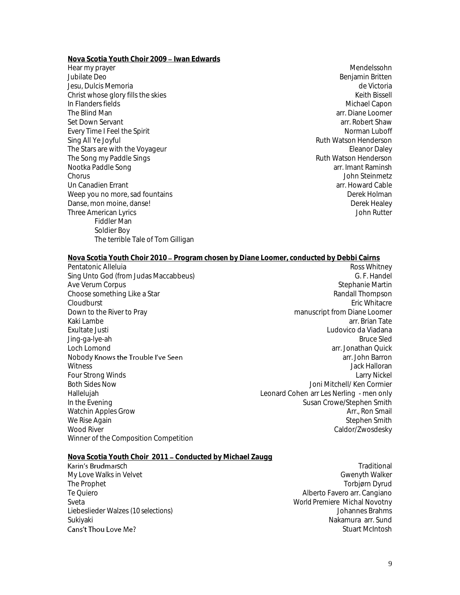**Nova Scotia Youth Choir 2009 - Iwan Edwards** 

Hear my prayer and the state of the state of the state of the state of the Mendelssohn Mendelssohn and the state of the state of the state of the state of the state of the state of the state of the state of the state of th Jesu, Dulcis Memoria de Victoria Christ whose glory fills the skies<br>In Flanders fields Keith Bissell<br>In Flanders fields In Flanders fields The Blind Man arr. Diane Loomer and Man arr. Diane Loomer and Man arr. Diane Loomer arr. Diane Loomer arr. Diane Loomer arr. Diane Loomer arr. Diane Loomer arr. Diane Loomer arr. Diane Loomer arr. Robert Shaw Set Down Servant Every Time I Feel the Spirit Norman Luboff Norman Luboff Norman Luboff Norman Luboff Norman Luboff Norman Luboff Sing All Ye Joyful **Ruth Watson Henderson** Ruth Watson Henderson The Stars are with the Voyageur and the Stars are with the Voyageur and the Stars are with the Voyageur and the<br>The Song my Paddle Sings and the Song methods in the Song my Paddle Sings and the Song methods of the Song met The Song my Paddle Sings Nootka Paddle Song arr. Imant Raminsh Chorus John Steinmetz Un Canadien Frrant arr. Howard Cable and The Cable arr. Howard Cable arr. Howard Cable Weep you no more, sad fountains Derek Holman Derek Holman Danse, mon moine, danse! Derek Healey Three American Lyrics John Rutter Fiddler Man Soldier Boy The terrible Tale of Tom Gilligan

Benjamin Britten

### Nova Scotia Youth Choir 2010 – Program chosen by Diane Loomer, conducted by Debbi Cairns

Pentatonic Alleluia Ross Whitney Sing Unto God (from Judas Maccabbeus) G. F. Handel (1998) G. F. Handel (1998) G. F. Handel (1998) G. F. Handel<br>Ave Verum Corpus Ave Verum Corpus and Stephanie Martin (1990) and Stephanie Martin (1990) and Stephanie Martin (1990) and Stephanie Martin (1990) and Stephanie Martin (1990) and Stephanie Martin (1990) and Stephanie Martin (1990) and Steph Choose something Like a Star المستخدم المستخدم المستخدم المستخدم المستخدم المستخدم المستخدم المستخدم المستخدم ا<br>Cloudburst Fric Whitacre Cloudburst Eric Whitacre Down to the River to Pray **manuscript from Diane Loomer**<br>Kaki Lambe arr. Brian Tate Kaki Lambe arr. Brian Tate arr. Brian Tate arr. Brian Tate arr. Brian Tate arr. Brian Tate arr. Brian Tate arr Exultate Justi Ludovico da Viadana Jing-ga-lye-ah Loch Lomond arr. Jonathan Quick Nobody **Knows the Trouble I've Seen** and the set of the set of the set of the set of the set of the set of the set of the set of the set of the set of the set of the set of the set of the set of the set of the set of the s Witness Jack Halloran<br>Four Strong Winds The Strong Winds of the Strong Strong Strong Strong Strong Strong Strong Strong Strong Stron Four Strong Winds Both Sides Now Joni Mitchell/ Ken Cormier Hallelujah Leonard Cohen arr Les Nerling - men only In the Evening Income of the Evening Susan Crowe/Stephen Smith<br>Watchin Apples Grow The Susan Crowe/Stephen Smith Income Susan Crowe/Stephen Smith Watchin Apples Grow We Rise Again North Stephen Smith (North Stephen Smith Stephen Smith Stephen Smith Stephen Smith Stephen Smith<br>Stephen Smith (North Stephen Smith Stephen Smith Stephen Smith Stephen Smith Stephen Smith Stephen Smith Step<br>N Winner of the Composition Competition

Caldor/Zwosdesky

# <u>Nova Scotia Youth Choir 2011 – Conducted by Michael Zaugg</u><br>**Karin's Brudmar**sch

My Love Walks in Velvet and the control of the control of the control of Gwenyth Walker<br>The Prophet Gwenyth Walker (Gwenyth Walker of the Control of the Control of Torbjørn Dyrud The Prophet Torbjørn Dyrud<br>Te Quiero (The Quiero de Canadano de Canadano de Canadano de Canadano de Canadano de Canadano de Canadano de C Sveta *World Premiere* Michal Novotny Liebeslieder Walzes *(10 selections)* Johannes Brahms Sukiyaki Nakamura arr. Sund Cans't Thou Love Me?

sch andere andere andere andere andere andere andere andere andere andere andere andere andere andere andere a Alberto Favero arr. Cangiano Stuart McIntosh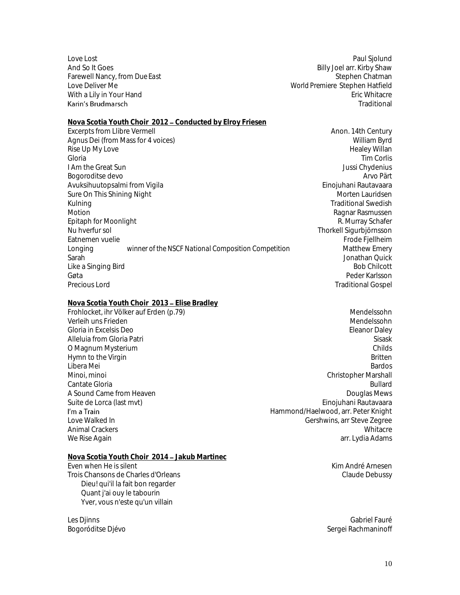With a Lily in Your Hand<br>Karin's Brudmarsch

Love Lost Paul Sjolund And So It Goes **Billy Joel arr. Kirby Shaw** Farewell Nancy, from *Due East* Stephen Chatman **Stephen Chatman** Stephen Chatman Love Deliver Me *World Premiere* Stephen Hatfield **Traditional** 

**Nova Scotia Youth Choir 2012 - Conducted by Elroy Friesen** Excerpts from Llibre Vermell **Anon. 14th Century** Anon. 14th Century Agnus Dei (from Mass for 4 voices) William Byrd Rise Up My Love Healey Willan Gloria Tim Corlis I Am the Great Sun<br>Bogoroditse devo Bogoroditse devo Avuksihuutopsalmi from Vigila Einojuhani Rautavaara Sure On This Shining Night Morten Lauridsen Morten Lauridsen Kulning Traditional Swedish Communications of the Communication of the Traditional Swedish Motion **Motion** Ragnar Rasmussen Epitaph for Moonlight **R. Australian Community** R. Murray Schafer Nu hverfur sol Thorkell Sigurbjörnsson Eatnemen vuelie<br>
Longing mathem by the NSCF National Composition Competition<br>
Matthew Emery Longing *winner of the NSCF National Composition Competition* Sarah Jonathan Quick<br>I ike a Singing Bird Like a Singing Bird Gøta Peder Karlsson

### **Nova Scotia Youth Choir 2013 Elise Bradley** Frohlocket, ihr Völker auf Erden (p.79)<br>Verleih uns Frieden (m. 1999) Mendelssohn Mendelssohn Mendelssohn Mendelssohn Verleih uns Frieden Gloria in Excelsis Deo Eleanor Daley Alleluia from Gloria Patri Sisask O Magnum Mysterium **Childs** Childs **Childs** Childs **Childs** Childs **Childs** Childs **Childs** Childs **Childs** Childs **Childs** Childs **Childs Childs Childs Childs Childs Childs Childs Childs Childs Childs** Hymn to the Virgin Britten Britten Britten Britten Britten Britten Britten Britten Britten Britten Britten Britten Britten Britten Britten Britten Britten Britten Britten Britten Britten Britten Britten Britten Britten Bri Libera Mei Bardos (Bardos de Santos de Santos de Santos de Santos de Santos de Santos de Santos de Santos de S Minoi, minoi Christopher Marshall Cantate Gloria **Bullard** Bullard **Bullard** Bullard **Bullard** Bullard **Bullard** Bullard **Bullard** A Sound Came from Heaven **Douglas Mews** A Sound Came from Heaven Suite de Lorca (last myt) Einojuhani Rautavaara I'm a Train Love Walked In Gershwins, arr Steve Zegree Animal Crackers

**Traditional Gospel** 

Hammond/Haelwood, arr. Peter Knight We Rise Again arrangement of the state of the state of the state of the state of the state of the state of the state of the state of the state of the state of the state of the state of the state of the state of the state o

Les Djinns Gabriel Fauré de la commune de la commune de la commune de la commune de la commune de la commune d Bogoróditse Djévo Sergei Rachmaninoff (Sergei Rachmaninoff Sergei Rachmaninoff Sergei Rachmaninoff Sergei Rachmaninoff Sergei Rachmaninoff (Sergei Rachmaninoff Sergei Rachmaninoff Sergei Rachmaninoff Sergei Rachmaninoff Se

### **Nova Scotia Youth Choir 2014 Jakub Martinec** Even when He is silent Kim André Arnesen

Trois Chansons de Charles d'Orleans Charles et anno 2008 ann an t-ann an t-ann an Claude Debussy Dieu! qui'il la fait bon regarder Quant j'ai ouy le tabourin Yver, vous n'este qu'un villain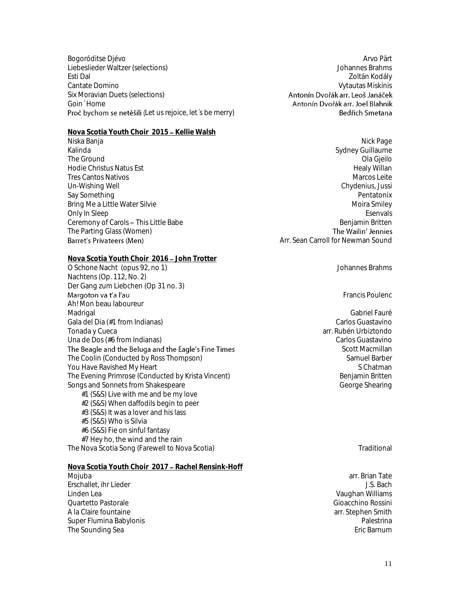Bogoróditse Djévo Arvo Pärt and Santa Constantinople and Arvo Pärt and Arvo Pärt and Arvo Pärt and Arvo Pärt and Arvo Pärt Liebeslieder Waltzer (selections) Johannes Brahms Esti Dal Zoltán Kodály Cantate Domino Vytautas Miskinis Six Moravian Duets (selections) Goin´ Home Proč bychom se netěšili (Let us rejoice, let´s be merry)

**Nova Scotia Youth Choir 2015 - Kellie Walsh** Niska Banja Nick Page Santa Terminal Series at the Series of the Series and Series and Series and Series and S Kalinda Sydney Guillaume Charles and Sydney Guillaume Charles and Sydney Guillaume Charles and Sydney Guillaume The Ground Communication of the Ground Communication of the Ground Communication of the Ground Communication of the Ground Communication of the Ground Communication of the Ground Communication of the Ground Communication o Hodie Christus Natus Est and the Second Second Second Second Second Second Second Second Second Second Second S<br>Tres Cantos Nativos Tres Cantos Nativos and the Secret Area and the Secret Area and the Marcos Leite<br>Un-Wishing Well and Marcos Leite Chydenius, Jussi Un-Wishing Well Say Something **Say Something** Pentatonix **Contract Contract Contract Contract Contract Contract Contract Contract Contract Contract Contract Contract Contract Contract Contract Contract Contract Contract Contract Contract** Bring Me a Little Water Silvie Moira Smiley School and The Moira Smiley Moira Smiley Only In Sleep Esenvals Ceremony of Carols – This Little Babe and the state of the Benjamin Britten and the Parting Glass (Women) and the Vailin' Jennies The Parting Glass (Women)<br>Barret's Privateers (Men)

**Nova Scotia Youth Choir 2016 - John Trotter** O Schone Nacht (opus 92, no 1) Johannes Brahms Nachtens (Op. 112, No. 2) Der Gang zum Liebchen (Op 31 no. 3)<br>Margoton va t'a l'au Ah! Mon beau laboureur

Madrigal Gabriel Fauré de la commune de la commune de la commune de la commune de la commune de la commune de Gala del Dia (#1 from Indianas) carlos Guastavino Tonada y Cueca arr. Rubén Urbiztondo Una de Dos (#6 from Indianas) Carlos Guastavino The Beagle and the Beluga and the Eagle's Fine Times The Coolin (Conducted by Ross Thompson) Samuel Barber Samuel Barber Samuel Barber You Have Ravished My Heart Schatman<br>The Evening Primrose (Conducted by Krista Vincent) National Schatman Schatman Schatman The Evening Primrose (Conducted by Krista Vincent) Songs and Sonnets from Shakespeare George Shearing George Shearing #1 (S&S) Live with me and be my love #2 (S&S) When daffodils begin to peer #3 (S&S) It was a lover and his lass #5 (S&S) Who is Silvia #6 (S&S) Fie on sinful fantasy

#7 Hey ho, the wind and the rain The Nova Scotia Song (Farewell to Nova Scotia) The Nova Scotianus Constanting Traditional

- **Nova Scotia Youth Choir 2017 Rachel Rensink-Hoff**
- Mojuba arr. Brian Tate Erschallet, ihr Lieder J.S. Bach Linden Lea Vaughan Williams Quartetto Pastorale Gioacchino Rossini A la Claire fountaine arr. Stephen Smith (All and School arr. Stephen Smith arr. Stephen Smith arr. Stephen Smith<br>Super Flumina Babylonis Super Flumina Babylonis Palestrina The Sounding Sea

Antonín Dvořák arr. Joel Blahnik Bedřich Smetana

Arr. Sean Carroll for Newman Sound

Francis Poulenc

Scott Macmillan